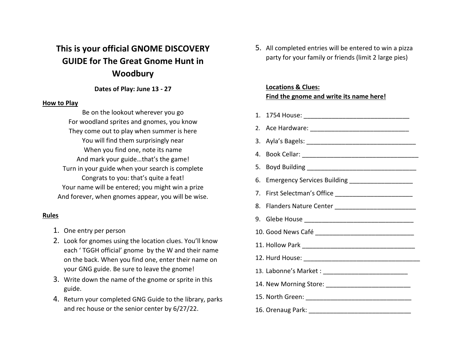### **This is your official GNOME DISCOVERY GUIDE for The Great Gnome Hunt in Woodbury**

#### **Dates of Play: June 13 - 27**

#### **How to Play**

Be on the lookout wherever you go For woodland sprites and gnomes, you know They come out to play when summer is here You will find them surprisingly near When you find one, note its name And mark your guide…that's the game! Turn in your guide when your search is complete Congrats to you: that's quite a feat! Your name will be entered; you might win a prize And forever, when gnomes appear, you will be wise.

#### **Rules**

- 1. One entry per person
- 2. Look for gnomes using the location clues. You'll know each ' TGGH official' gnome by the W and their name on the back. When you find one, enter their name on your GNG guide. Be sure to leave the gnome!
- 3. Write down the name of the gnome or sprite in this guide.
- 4. Return your completed GNG Guide to the library, parks and rec house or the senior center by 6/27/22.

5. All completed entries will be entered to win a pizza party for your family or friends (limit 2 large pies)

#### **Locations & Clues: Find the gnome and write its name here!**

1. 1754 House: \_\_\_\_\_\_\_\_\_\_\_\_\_\_\_\_\_\_\_\_\_\_\_\_\_\_\_\_\_\_ 2. Ace Hardware: \_\_\_\_\_\_\_\_\_\_\_\_\_\_\_\_\_\_\_\_\_\_\_\_\_\_\_\_ 3. Ayla's Bagels: \_\_\_\_\_\_\_\_\_\_\_\_\_\_\_\_\_\_\_\_\_\_\_\_\_\_\_\_\_\_\_ 4. Book Cellar: \_\_\_\_\_\_\_\_\_\_\_\_\_\_\_\_\_\_\_\_\_\_\_\_\_\_\_\_\_\_\_\_\_ 5. Boyd Building \_\_\_\_\_\_\_\_\_\_\_\_\_\_\_\_\_\_\_\_\_\_\_\_\_\_\_\_\_\_\_ 6. Emergency Services Building 7. First Selectman's Office \_\_\_\_\_\_\_\_\_\_\_\_\_\_\_\_\_\_\_\_\_\_ 8. Flanders Nature Center \_\_\_\_\_\_\_\_\_\_\_\_\_\_\_\_\_\_\_\_\_\_\_ 9. Glebe House \_\_\_\_\_\_\_\_\_\_\_\_\_\_\_\_\_\_\_\_\_\_\_\_\_\_\_\_\_\_\_ 10. Good News Café \_\_\_\_\_\_\_\_\_\_\_\_\_\_\_\_\_\_\_\_\_\_\_\_\_\_\_\_ 11. Hollow Park \_\_\_\_\_\_\_\_\_\_\_\_\_\_\_\_\_\_\_\_\_\_\_\_\_\_\_\_\_\_\_\_ 12. Hurd House: \_\_\_\_\_\_\_\_\_\_\_\_\_\_\_\_\_\_\_\_\_\_\_\_\_\_\_\_\_\_\_\_\_ 13. Labonne's Market : \_\_\_\_\_\_\_\_\_\_\_\_\_\_\_\_\_\_\_\_\_\_\_\_ 14. New Morning Store: <u>and</u> the store of the state of the state of the state of the state of the state of the state of the state of the state of the state of the state of the state of the state of the state of the state o 15. North Green: \_\_\_\_\_\_\_\_\_\_\_\_\_\_\_\_\_\_\_\_\_\_\_\_\_\_\_\_\_\_ 16. Orenaug Park: \_\_\_\_\_\_\_\_\_\_\_\_\_\_\_\_\_\_\_\_\_\_\_\_\_\_\_\_\_